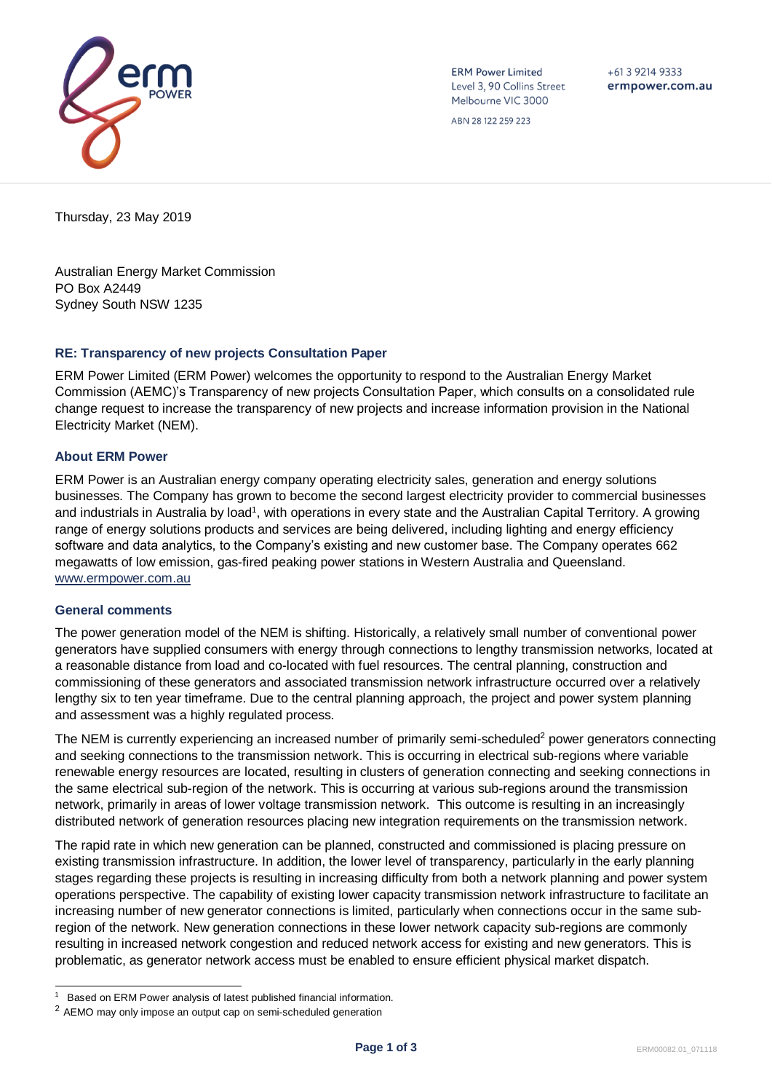

**ERM Power Limited** Level 3, 90 Collins Street Melbourne VIC 3000

 $+61392149333$ ermpower.com.au

ABN 28 122 259 223

Thursday, 23 May 2019

Australian Energy Market Commission PO Box A2449 Sydney South NSW 1235

# **RE: Transparency of new projects Consultation Paper**

ERM Power Limited (ERM Power) welcomes the opportunity to respond to the Australian Energy Market Commission (AEMC)'s Transparency of new projects Consultation Paper, which consults on a consolidated rule change request to increase the transparency of new projects and increase information provision in the National Electricity Market (NEM).

# **About ERM Power**

ERM Power is an Australian energy company operating electricity sales, generation and energy solutions businesses. The Company has grown to become the second largest electricity provider to commercial businesses and industrials in Australia by load<sup>1</sup>, with operations in every state and the Australian Capital Territory. A growing range of energy solutions products and services are being delivered, including lighting and energy efficiency software and data analytics, to the Company's existing and new customer base. The Company operates 662 megawatts of low emission, gas-fired peaking power stations in Western Australia and Queensland. [www.ermpower.com.au](http://www.ermpower.com.au/)

# **General comments**

l

The power generation model of the NEM is shifting. Historically, a relatively small number of conventional power generators have supplied consumers with energy through connections to lengthy transmission networks, located at a reasonable distance from load and co-located with fuel resources. The central planning, construction and commissioning of these generators and associated transmission network infrastructure occurred over a relatively lengthy six to ten year timeframe. Due to the central planning approach, the project and power system planning and assessment was a highly regulated process.

The NEM is currently experiencing an increased number of primarily semi-scheduled<sup>2</sup> power generators connecting and seeking connections to the transmission network. This is occurring in electrical sub-regions where variable renewable energy resources are located, resulting in clusters of generation connecting and seeking connections in the same electrical sub-region of the network. This is occurring at various sub-regions around the transmission network, primarily in areas of lower voltage transmission network. This outcome is resulting in an increasingly distributed network of generation resources placing new integration requirements on the transmission network.

The rapid rate in which new generation can be planned, constructed and commissioned is placing pressure on existing transmission infrastructure. In addition, the lower level of transparency, particularly in the early planning stages regarding these projects is resulting in increasing difficulty from both a network planning and power system operations perspective. The capability of existing lower capacity transmission network infrastructure to facilitate an increasing number of new generator connections is limited, particularly when connections occur in the same subregion of the network. New generation connections in these lower network capacity sub-regions are commonly resulting in increased network congestion and reduced network access for existing and new generators. This is problematic, as generator network access must be enabled to ensure efficient physical market dispatch.

<sup>1</sup> Based on ERM Power analysis of latest published financial information.

<sup>2</sup> AEMO may only impose an output cap on semi-scheduled generation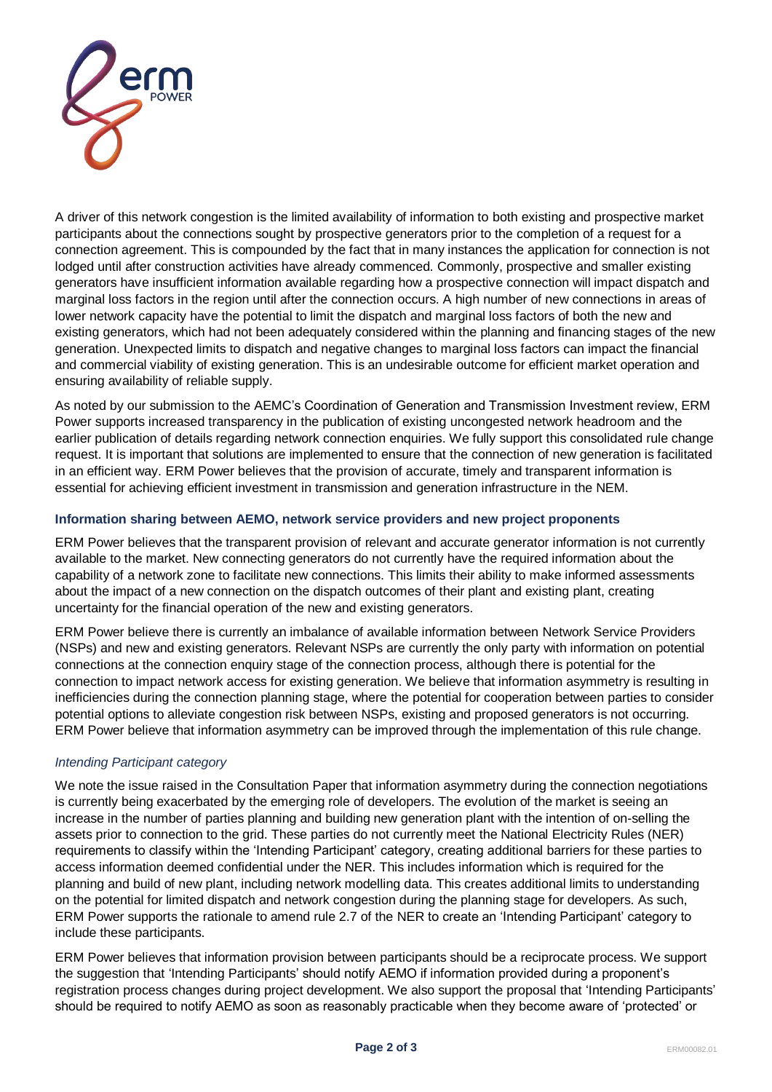

A driver of this network congestion is the limited availability of information to both existing and prospective market participants about the connections sought by prospective generators prior to the completion of a request for a connection agreement. This is compounded by the fact that in many instances the application for connection is not lodged until after construction activities have already commenced. Commonly, prospective and smaller existing generators have insufficient information available regarding how a prospective connection will impact dispatch and marginal loss factors in the region until after the connection occurs. A high number of new connections in areas of lower network capacity have the potential to limit the dispatch and marginal loss factors of both the new and existing generators, which had not been adequately considered within the planning and financing stages of the new generation. Unexpected limits to dispatch and negative changes to marginal loss factors can impact the financial and commercial viability of existing generation. This is an undesirable outcome for efficient market operation and ensuring availability of reliable supply.

As noted by our submission to the AEMC's Coordination of Generation and Transmission Investment review, ERM Power supports increased transparency in the publication of existing uncongested network headroom and the earlier publication of details regarding network connection enquiries. We fully support this consolidated rule change request. It is important that solutions are implemented to ensure that the connection of new generation is facilitated in an efficient way. ERM Power believes that the provision of accurate, timely and transparent information is essential for achieving efficient investment in transmission and generation infrastructure in the NEM.

# **Information sharing between AEMO, network service providers and new project proponents**

ERM Power believes that the transparent provision of relevant and accurate generator information is not currently available to the market. New connecting generators do not currently have the required information about the capability of a network zone to facilitate new connections. This limits their ability to make informed assessments about the impact of a new connection on the dispatch outcomes of their plant and existing plant, creating uncertainty for the financial operation of the new and existing generators.

ERM Power believe there is currently an imbalance of available information between Network Service Providers (NSPs) and new and existing generators. Relevant NSPs are currently the only party with information on potential connections at the connection enquiry stage of the connection process, although there is potential for the connection to impact network access for existing generation. We believe that information asymmetry is resulting in inefficiencies during the connection planning stage, where the potential for cooperation between parties to consider potential options to alleviate congestion risk between NSPs, existing and proposed generators is not occurring. ERM Power believe that information asymmetry can be improved through the implementation of this rule change.

# *Intending Participant category*

We note the issue raised in the Consultation Paper that information asymmetry during the connection negotiations is currently being exacerbated by the emerging role of developers. The evolution of the market is seeing an increase in the number of parties planning and building new generation plant with the intention of on-selling the assets prior to connection to the grid. These parties do not currently meet the National Electricity Rules (NER) requirements to classify within the 'Intending Participant' category, creating additional barriers for these parties to access information deemed confidential under the NER. This includes information which is required for the planning and build of new plant, including network modelling data. This creates additional limits to understanding on the potential for limited dispatch and network congestion during the planning stage for developers. As such, ERM Power supports the rationale to amend rule 2.7 of the NER to create an 'Intending Participant' category to include these participants.

ERM Power believes that information provision between participants should be a reciprocate process. We support the suggestion that 'Intending Participants' should notify AEMO if information provided during a proponent's registration process changes during project development. We also support the proposal that 'Intending Participants' should be required to notify AEMO as soon as reasonably practicable when they become aware of 'protected' or